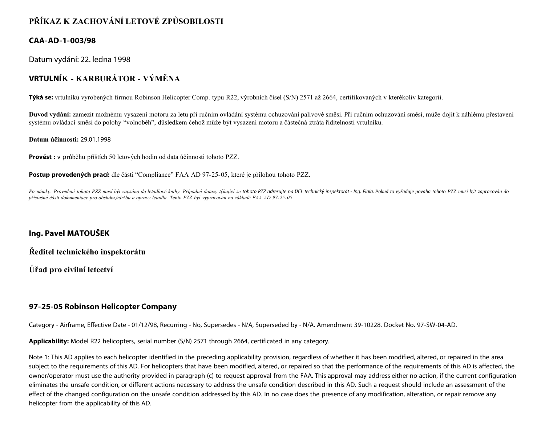## **PŘÍKAZ K ZACHOVÁNÍ LETOVÉ ZPŮSOBILOSTI**

## **CAA-AD-1-003/98**

Datum vydání: 22. ledna 1998

# **VRTULNÍK - KARBURÁTOR - VÝMĚNA**

**Týká se:** vrtulníků vyrobených firmou Robinson Helicopter Comp. typu R22, výrobních čísel (S/N) 2571 až 2664, certifikovaných v kterékoliv kategorii.

**Důvod vydání:** zamezit možnému vysazení motoru za letu při ručním ovládání systému ochuzování palivové směsi. Při ručním ochuzování směsi, může dojít k náhlému přestavení systému ovládací směsi do polohy "volnoběh", důsledkem čehož může být vysazení motoru a částečná ztráta řiditelnosti vrtulníku.

#### **Datum účinnosti:** 29.01.1998

**Provést :** v průběhu příštích 50 letových hodin od data účinnosti tohoto PZZ.

**Postup provedených prací:** dle části "Compliance" FAA AD 97-25-05, které je přílohou tohoto PZZ.

Poznámky: Provedení tohoto PZZ musí být zapsáno do letadlové knihy. Případné dotazy týkající se tohoto PZZ adresujte na ÚCL technický inspektorát - lng. Fiala. Pokud to vyžaduje povaha tohoto PZZ musí být zapracován do *příslušné části dokumentace pro obsluhu,údržbu a opravy letadla. Tento PZZ byl vypracován na základě FAA AD 97-25-05.*

### **Ing. Pavel MATOUŠEK**

**Ředitel technického inspektorátu**

**Úřad pro civilní letectví**

### **97-25-05 Robinson Helicopter Company**

Category - Airframe, Effective Date - 01/12/98, Recurring - No, Supersedes - N/A, Superseded by - N/A. Amendment 39-10228. Docket No. 97-SW-04-AD.

**Applicability:** Model R22 helicopters, serial number (S/N) 2571 through 2664, certificated in any category.

Note 1: This AD applies to each helicopter identified in the preceding applicability provision, regardless of whether it has been modified, altered, or repaired in the area subject to the requirements of this AD. For helicopters that have been modified, altered, or repaired so that the performance of the requirements of this AD is affected, the owner/operator must use the authority provided in paragraph (c) to request approval from the FAA. This approval may address either no action, if the current configuration eliminates the unsafe condition, or different actions necessary to address the unsafe condition described in this AD. Such a request should include an assessment of the effect of the changed configuration on the unsafe condition addressed by this AD. In no case does the presence of any modification, alteration, or repair remove any helicopter from the applicability of this AD.